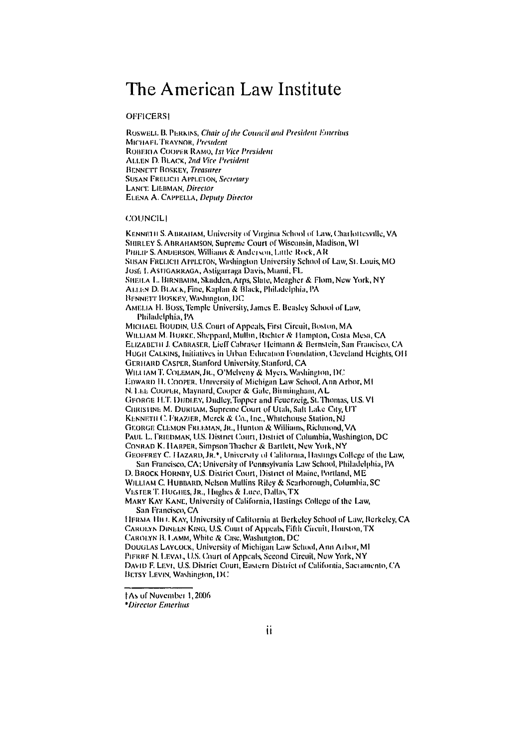# The American Law Institute

#### **OFFICERSI**

ROSWELL B. PERKINS, Chair of the Council and President Emeritus MICHAFL TRAYNOR, President ROBERTA COOPER RAMO, 1st Vice President ALLEN D. BLACK, 2nd Vice President **BENNETT BOSKEY, Treasurer SUSAN FRELICH APPLETON, Secretary** LANCE LIEBMAN, Director ELENA A. CAPPELLA, Deputy Director

#### **COUNCILI**

KENNETH S. ABRAHAM, University of Virginia School of Law, Charlottesville, VA SHIRLEY S. ABRAHAMSON, Supreme Court of Wisconsin, Madison, W1 PHILIP S. ANDERSON, Williams & Anderson, Little Rock, AR SUSAN FRELICH APPLETON, Washington University School of Law, St. Louis, MO JOSE L ASTIGARRAGA, Astigarraga Davis, Mianui, FL SHEILA L. BIRNBAUM, Skadden, Arps, Slate, Meagher & Flom, New York, NY ALLEN D. BLACK, Fine, Kaplan & Black, Philadelphia, PA BENNETT BOSKEY, Washington, DC AMELIA H. BOSS, Temple University, James E. Beasley School of Law, Philadelphia, PA MICHAEL BOUDIN, U.S. Court of Appeals, First Circuit, Boston, MA WILLIAM M. BURKE, Sheppard, Mullin, Richter & Hampton, Costa Mesa, CA ELIZABETH J. CABRASER, Lieff Cabraser Heimann & Bernstein, San Francisco, CA HUGH CALKINS, Initiatives in Urban Education Foundation, Cleveland Heights, OH GERHARD CASPER, Stanford University, Stanford, CA WILLIAM T. COLEMAN, JR., O'Melveny & Myers, Washington, DC EDWARD H. COOPER, University of Michigan Law School, Ann Arbor, MI N. LEE COOPER, Maynard, Cooper & Gale, Birmingham, AL GFORGE H.T. DHDLEY, Dudley, Topper and Feuerzeig, St. Thomas, U.S. Vi CHRISTINE M. DURITAM, Supreme Court of Utah, Salt Lake City, UT KENNETH C. FRAZIER, Merck & Co., Inc., Whitehouse Station, NJ GEORGE CLEMON FREEMAN, JR., Hunton & Williams, Richmond, VA PAUL L. FRIEDMAN, U.S. District Court, District of Columbia, Washington, DC CONRAD K. HARPER, Simpson Thacher & Bartlett, New York, NY GEOFFREY C. HAZARD, JR. \*, University of California, Hastings College of the Law, San Francisco, CA; University of Pennsylvania Law School, Philadelphia, PA D. BROCK HORNBY, U.S. District Court, District of Maine, Portland, ME WILLIAM C. HUBBARD, Nelson Mullins Riley & Scarborough, Columbia, SC VESTER T. HUGHES, JR., Hughes & Luce, Dallas, TX

MARY KAY KANE, University of California, Hastings College of the Law, San Francisco, CA

HFRMA HH t. KAY, University of California at Berkeley School of Law, Berkeley, CA CAROLYN DINEEN KING, U.S. Court of Appeals, Fifth Circuit, Houston, TX CAROLYN B. LAMM, White & Case, Washington, DC DOUGLAS LAYCOCK, University of Michigan Law School, Ann Arbor, MI PIFRRF N. LEVAL, U.S. Court of Appeals, Second Circuit, New York, NY DAVID F. LEVI, U.S. District Court, Eastern District of California, Sacramento, CA BETSY LEVIN, Washington, DC

<sup>†</sup>As of November 1, 2006

<sup>\*</sup>Director Emeritus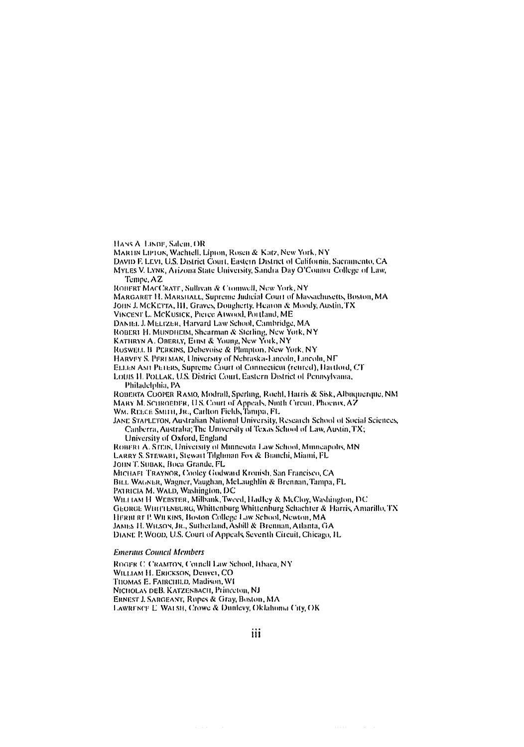HANS A. LIKDE, Salem, OR

MARTIN LIPTON, Wachtell, Lipton, Rosen & Katz, New York, NY

DAVID F. LEVI, U.S. District Court, Eastern District of California, Sacramento, CA

MYLES V. LYNK, Arizona State University, Sandra Day O'Connor College of Law, Tempe, AZ

ROHERT MACCRATE, Sullivan & Cromwell, New York, NY

MARGARET H. MARSHALL, Supreme Judicial Court of Massachusetts, Boston, MA

JOHN J. MCKETTA, IH, Graves, Dougherty, Hearon & Moody, Austin, TX

VINCENT L. MCKUSICK, Pierce Atwood, Portland, ME

DANIEL J. MELIZER, Harvard Law School, Cambridge, MA

ROBERT H. MUNDHEIM, Shearman & Sterling, New York, NY

KATHRYN A. OBERLY, EIBSI & YOURG, New YORK, NY

ROSWELL B. PERKINS, Debevoise & Planpton, New York, NY

HARVEY S. PEREMAN, University of Nebraska-Lincoln, Lincoln, NF

ELLEN ASH PETERS, Supreme Court of Connecticut (retired), Hartford, CT

LOUIS II. POLLAK, U.S. District Court, Eastern District of Pennsylvania, Philadelphia, PA

ROBERTA COOPER RAMO, Modrall, Sperling, Rochl, Harris & Sisk, Albaquerque, NM MARY M. SCHROEDFR, U.S. Court of Appeals, Ninth Circuit, Phoenix, AZ WM. REECE SMITH, JR., Carlton Fields, Tampa, FL

JANE STAPLETON, Australian National University, Research School of Social Sciences, Canberra, Australia; The University of Texas School of Law, Austin, TX;

University of Oxford, England ROBERT A. STEIN, University of Minnesota Law School, Minneapolis, MN LARRY S. STEWARI, Stewart Tilgliman Fox & Branchi, Miami, FL JOHN T. SUBAK, Boca Grande, FL MICHAFI TRAYNOR, Cooley Godward Kronish, San Francisco, CA BILL WAGNER, Wagner, Vaughan, McLaughlin & Brennan, Tampa, FL PATRICIA M. WALD, Washington, DC WILFTAM H. WEBSTER, Milbank, Tweed, Hadley & McCloy, Washington, DC GEORGE WHITLENBURG, Whittenburg Whittenburg Schachter & Harris, Amarillo, TX HERBERT P. WILKINS, Boston College Law School, Newton, MA JAMES H. WILSON, JR., Sutherland, Asbill & Brennan, Atlanta, GA DIANE P. WOOD, U.S. Court of Appeals, Seventh Circuit, Chicago, IL

#### **Emeritus Council Members**

ROGER C. CRAMTON, Cornell Law School, Ithaca, NY WILLIAM H. ERICKSON, Denver, CO THOMAS E. FAIRCHILD, Madison, WI NICHOLAS DEB. KATZENBACH, Princeton, NJ ERNEST J. SARGEANT, Ropes & Gray, Boston, MA LAWRENCE E. WALSH, Crowe & Dunlevy, Oklahoma City, OK

iii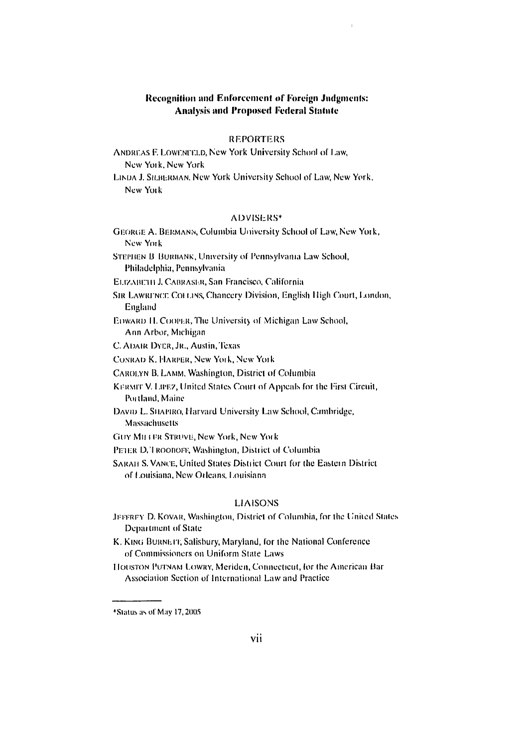# **Recognition and Enforcement of Foreign Jadgments: Analysis and Proposed Federal Statute**

#### **REPORTERS**

**ANDREAS F. LOWENFELD, New York University School of Law,** New York, New York

LINDA J. SILBERMAN, New York University School of Law, New York, New York

#### **ADVISERS\***

GEORGE A. BERMANN, Columbia University School of Law, New York, New York STEPHEN B BURBANK, University of Pennsylvania Law School, Philadelphia, Pennsylvania ELIZABETH J. CABRASER, San Francisco, California SIR LAWRENCE COLLINS, Chancery Division, English High Court, London, England EDWARD H. COOPER, The University of Michigan Law School, Ann Arbor, Michigan C. ADAIR DYER, JR., Austin, Texas CONRAD K. HARPER, New York, New York CAROLYN B. LAMM, Washington, District of Columbia KERMIT V. LIPEZ, United States Court of Appeals for the First Circuit, Portland, Maine DAVID L. SHAPIRO, Harvard University Law School, Cambridge, **Massachusetts GUY MILLER STRUVE, New York, New York** PETER D, TROODOFF, Washington, District of Columbia SARAH S. VANCE, United States District Court for the Eastern District of Louisiana, New Orleans, Louisiana

#### **LIAISONS**

- JEFFREY D. KOVAR, Washington, District of Columbia, for the United States Department of State
- K. KING BURNETT, Salisbury, Maryland, for the National Conference of Commissioners on Uniform State Laws

HOUSTON PUTNAM LOWRY, Meriden, Connecticut, for the American Bar Association Section of International Law and Practice

<sup>&</sup>lt;sup>+</sup>Status as of May 17, 2005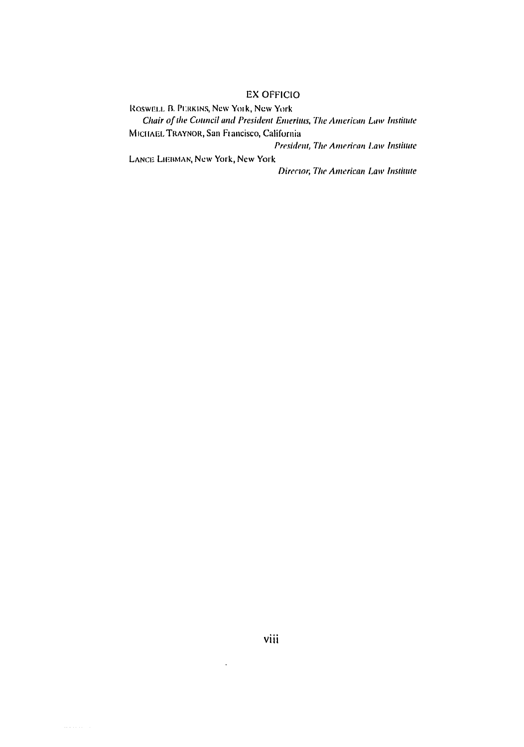## **EX OFFICIO**

ROSWELL B. PERKINS, New York, New York Chair of the Council and President Emeritus, The American Law Institute MICHAEL TRAYNOR, San Francisco, California

President, The American Law Institute

LANCE LIEBMAN, New York, New York

Director, The American Law Institute

 $\ddot{\phantom{a}}$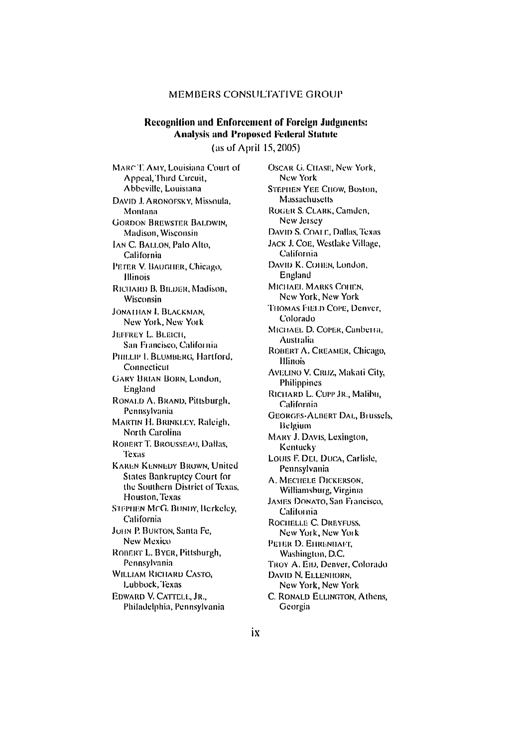### MEMBERS CONSULTATIVE GROUP

# **Recognition and Enforcement of Foreign Judgments: Analysis and Proposed Federal Statute**

(as of April 15, 2005)

MARCT, AMY, Louisiana Court of Appeal, Third Circuit, Abbeville, Louisiana DAVID J. ARONOFSKY, Missoula, Montana **GORDON BREWSTER BALDWIN.** Madison, Wisconsin IAN C. BALLON, Palo Alto, California PETER V. BAUGHER, Chicago, **Illinois** RICHARD B. BILDER, Madison, Wisconsin JONATHAN I. BLACKMAN. New York, New York **JEFFREY L. BLEICH.** San Francisco, California PHILLIP L. BLUMBERG, Hartford. Connecticut **GARY BRIAN BORN, London,** England RONALD A. BRAND, Pittsburgh, Pennsylvania MARTIN H. BRINKLEY, Raleigh, North Carolina ROBERT T. BROUSSEAU, Dallas. Texas **KAREN KENNEDY BROWN, United** States Bankruptcy Court for the Southern District of Texas, Houston, Texas STEPHEN MCG. BUNDY, Berkeley, California JOHN P. BURTON, Santa Fe, New Mexico ROBERT L. BYER, Pittsburgh, Pennsylvania **WILLIAM RICHARD CASTO,** Lubbock, Texas EDWARD V. CATTELL, JR., Philadelphia, Pennsylvania

**OSCAR G. CHASE, New York,** New York **STEPHEN YEE CHOW, Boston,** Massachusetts ROGER S. CLARK, Camden, New Jersey DAVID S. COALE, Dallas, Texas JACK J. COE, Westlake Village, California DAVID K. COHEN, London. England MICHAEL MARKS COHEN. New York, New York THOMAS FIELD COPE, Denver, Colorado MICHAEL D. COPER, Canberra, Australia ROBERT A, CREAMER, Chicago, **Hlinois** AVELINO V. CRUZ, Makati City, Philippines RICHARD L. CUPP JR., Malibu, California **GEORGES-ALBERT DAL, Brussels,** Belgium MARY J. DAVIS, Lexington, Kentucky LOUIS F. DEI, DUCA, Carlisle, Pennsylvania A. MECHELE DICKERSON, Williamsburg, Virginia JAMES DONATO, San Francisco, California ROCHELLE C. DREYFUSS. New York, New York PETER D. EHRENHAFT. Washington, D.C. TROY A. Em, Denver, Colorado DAVID N. ELLENHORN. New York, New York C. RONALD ELLINGTON, Athens, Georgia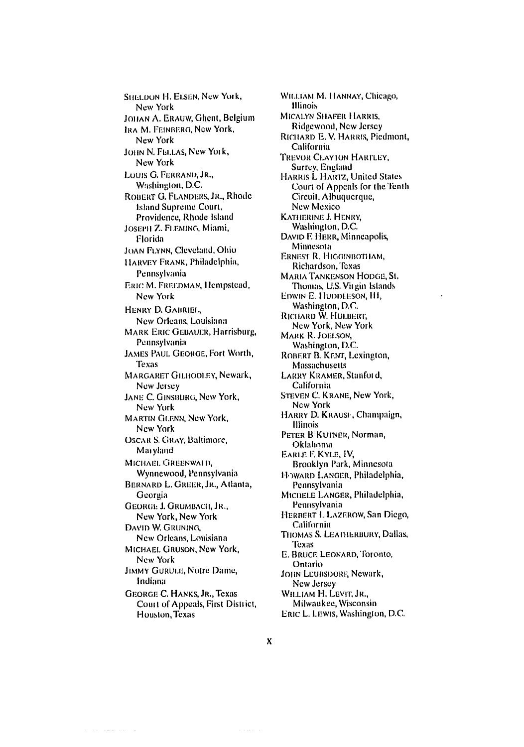**SHELDON H. ELSEN, New York,** New York JOHAN A. ERAUW, Ghent, Belgium IRA M. FEINBERG, New York, New York JOHN N. FELLAS, New York, New York LOUIS G. FERRAND, JR., Washington, D.C. ROBERT G. FLANDERS, JR., Rhode **Island Supreme Court.** Providence, Rhode Island JOSEPH Z. FLEMING, Miami, Florida JOAN FLYNN, Cleveland, Ohio HARVEY FRANK, Philadelphia, Pennsylvania ERIC M. FREEDMAN, Hempstead, New York HENRY D. GABRIEL. New Orleans, Louisiana **MARK ERIC GEBAUER, Harrisburg,** Pennsylvania **JAMES PAUL GEORGE, Fort Worth, Texas** MARGARET GILHOOLEY, Newark, New Jersey JANE C. GINSBURG, New York, New York **MARTIN GLENN, New York,** New York **OSCAR S. GRAY, Baltimore,** Maryland MICHAEL GREENWALD, Wynnewood, Pennsylvania BERNARD L. GREER, JR., Atlanta, Georgia **GEORGE J. GRUMBACH, JR.,** New York, New York DAVID W. GRUNING, New Orleans, Louisiana MICHAEL GRUSON, New York, New York **JIMMY GURULE, Notre Dame,** Indiana GEORGE C. HANKS, JR., Texas Court of Appeals, First District, Houston, Texas

WILLIAM M. HANNAY, Chicago, **Illinois MICALYN SHAFER HARRIS,** Ridgewood, New Jersey RICHARD E. V. HARRIS, Piedmont, California TREVOR CLAYION HARTLEY. Surrey, England HARRIS L HARTZ, United States Court of Appeals for the Tenth Circuit, Albuquerque, New Mexico KATHERINE J. HENRY. Washington, D.C. DAVID F. HERR, Minneapolis, Minnesota ERNEST R. HIGGINBOTHAM, Richardson, Texas MARIA TANKENSON HODGE, St. Thomas, U.S. Virgin Islands EDWIN E. HUDDLESON, H1, Washington, D.C. Richard W. Hulbert, New York, New York MARK R. JOELSON, Washington, D.C. ROBERT B. KENT, Lexington, **Massachusetts** LARRY KRAMER, Stanford, California STEVEN C. KRANE, New York, New York HARRY D. KRAUSE, Champaign, **Illinois** PETER B KUTNER, Norman, Oklahoma EARLE F. KYLE, IV, Brooklyn Park, Minnesota HOWARD LANGER, Philadelphia, Pennsylvania MICHELE LANGER, Philadelphia, Pennsylvania HERBERT I. LAZEROW, San Diego, California THOMAS S. LEATHERBURY, Dallas, Texas E. BRUCE LEONARD, Toronto, Ontario JOHN LEUBSDORF, Newark, New Jersey WILLIAM H. LEVIT, JR., Milwaukee, Wisconsin ERIC L. LEWIS, Washington, D.C.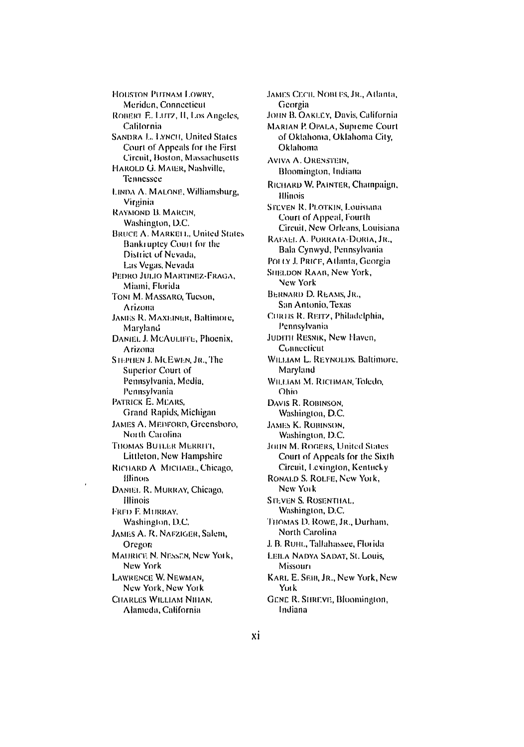**HOUSTON PUTNAM LOWRY.** Meriden, Connecticut ROBERT E. LUTZ, II, Los Angeles, California **SANDRA L. LYNCH, United States** Court of Appeals for the First Circuit, Boston, Massachusetts HAROLD G. MAIER, Nashville, Tennessee LINDA A. MALONE, Williamsburg, Virginia RAYMOND B. MARCIN. Washington, D.C. **BRUCE A. MARKELL, United States** Bankruptev Court for the District of Nevada, Las Vegas, Nevada PEDRO JULIO MARTINEZ-FRAGA, Miami, Florida TONI M. MASSARO, Tucson, Arizona JAMES R. MAXEINER, Baltimore, Maryland DANIEL J. MCAULIFFE, Phoenix. Arizona STEPHEN J. MCEWEN, JR., The Superior Court of Pennsylvania, Media, Pennsylvania PATRICK E. MEARS. Grand Rapids, Michigan JAMES A. MEDFORD, Greensboro, North Carolina THOMAS BUTLER MERRITI, Littleton, New Hampshire RICHARD A MICHAEL, Chicago, illinors DANIEL R. MURRAY, Chicago, Illinois FRED E. MURRAY. Washington, D.C. JAMES A. R. NAFZIGER, Salem, Oregon MAURICE N. NESSEN, New York, New York LAWRENCE W. NEWMAN, New York, New York CHARLES WILLIAM NIHAN, Alameda, California

JAMES CECIL NOBUES, JR., Atlanta, Georgia JOHN B. OAKLEY, Davis, California **MARIAN P. OPALA, Supreme Court** of Oklahoma, Oklahoma City, Oklahoma **AVIVA A. ORENSTEIN.** Bloomington, Indiana RICHARD W. PAINTER, Champaign, **Hlinois** STEVEN R. PLOTKIN, Louisiana Court of Appeal, Fourth Circuit, New Orleans, Louisiana RAEAEL A. PORRATA-DORIA, JR., Bala Cynwyd, Pennsylvania POLLY J. PRICE, Atlanta, Georgia SHELDON RAAB, New York, New York **BERNARD D. REAMS, JR.,** San Antonio, Texas CORTIS R. REITZ, Philadelphia, Pennsylvania JUDITH RESNIK, New Haven, Connecticut WILLIAM L. REYNOLDS, Baltimore, Maryland WILLIAM M. RICHMAN, Toledo, Ohio DAVIS R. ROBINSON. Washington, D.C. **JAMES K. ROBINSON,** Washington, D.C. JOHN M. ROGERS, United States Court of Appeals for the Sixth Circuit, Lexington, Kentucky RONALD S. ROLFE, New York. New York **STEVEN S. ROSENTHAL.** Washington, D.C. THOMAS D. ROWE, JR., Durham, North Carolina J. B. RUHL, Tallahassee, Florida LEILA NADYA SADAT, St. Louis, Missouri KARL E. SEIB, JR., New York, New York GENE R. SHREVE, Bloomington, Indiana